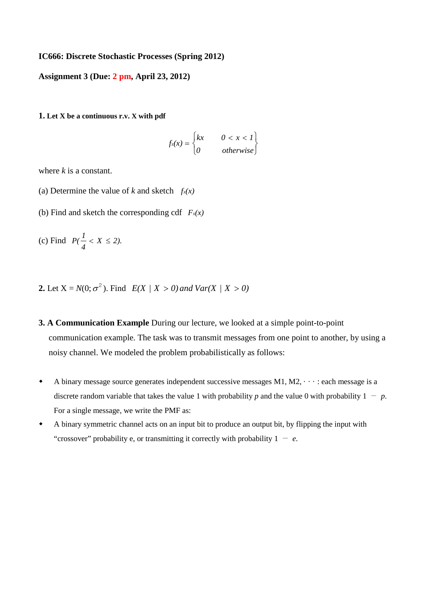## **IC666: Discrete Stochastic Processes (Spring 2012)**

**Assignment 3 (Due: 2 pm, April 23, 2012)**

**1. Let X be a continuous r.v. X with pdf**

$$
f_x(x) = \begin{cases} kx & 0 < x < 1 \\ 0 & \text{otherwise} \end{cases}
$$

where *k* is a constant.

- (a) Determine the value of *k* and sketch  $f_x(x)$
- (b) Find and sketch the corresponding cdf  $F_x(x)$

(c) Find  $P(\frac{1}{4} < X \le 2)$ .

- **2.** Let  $X = N(0; \sigma^2)$ . Find  $E(X | X > 0)$  and  $Var(X | X > 0)$
- **3. A Communication Example** During our lecture, we looked at a simple point-to-point communication example. The task was to transmit messages from one point to another, by using a noisy channel. We modeled the problem probabilistically as follows:
- $\bullet$  A binary message source generates independent successive messages M1, M2,  $\cdots$  : each message is a discrete random variable that takes the value 1 with probability *p* and the value 0 with probability  $1 - p$ . For a single message, we write the PMF as:
- A binary symmetric channel acts on an input bit to produce an output bit, by flipping the input with "crossover" probability e, or transmitting it correctly with probability  $1 - e$ .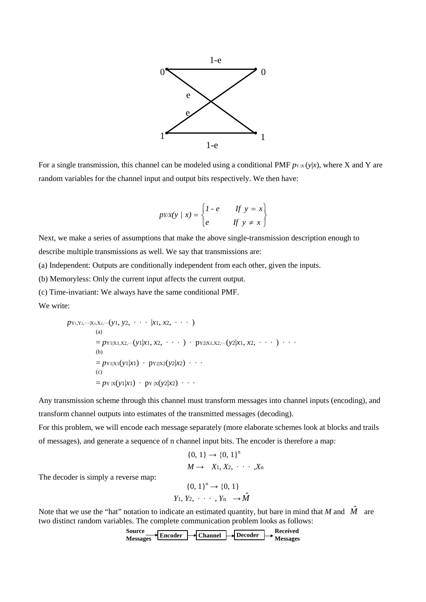

For a single transmission, this channel can be modeled using a conditional PMF  $p_{Y|X}(y|x)$ , where X and Y are random variables for the channel input and output bits respectively. We then have:

$$
pYX(y \mid x) = \begin{cases} 1 - e & \text{if } y = x \\ e & \text{if } y \neq x \end{cases}
$$

Next, we make a series of assumptions that make the above single-transmission description enough to describe multiple transmissions as well. We say that transmissions are:

(a) Independent: Outputs are conditionally independent from each other, given the inputs.

(b) Memoryless: Only the current input affects the current output.

(c) Time-invariant: We always have the same conditional PMF.

We write:

$$
p_{Y_1,Y_2,\dots|X_1,X_2,\dots}(y_1, y_2, \dots |x_1, x_2, \dots)
$$
\n(a)\n
$$
= p_{Y_1|X_1,X_2,\dots}(y_1|x_1, x_2, \dots) \cdot p_{Y_2|X_1,X_2,\dots}(y_2|x_1, x_2, \dots) \dots
$$
\n(b)\n
$$
= p_{Y_1|X_1}(y_1|x_1) \cdot p_{Y_2|X_2}(y_2|x_2) \dots
$$
\n(c)\n
$$
= p_{Y_1|X_1}(y_1|x_1) \cdot p_{Y_1|X_2}(y_2|x_2) \dots
$$

Any transmission scheme through this channel must transform messages into channel inputs (encoding), and transform channel outputs into estimates of the transmitted messages (decoding).

For this problem, we will encode each message separately (more elaborate schemes look at blocks and trails of messages), and generate a sequence of n channel input bits. The encoder is therefore a map:

$$
\{0, 1\} \rightarrow \{0, 1\}^n
$$
  

$$
M \rightarrow X_1, X_2, \cdots, X_n
$$

The decoder is simply a reverse map:

$$
\{0, 1\}^n \to \{0, 1\}
$$
  

$$
Y_1, Y_2, \cdots, Y_n \to \hat{M}
$$

Note that we use the "hat" notation to indicate an estimated quantity, but bare in mind that *M* and  $\hat{M}$  are two distinct random variables. The complete communication problem looks as follows:

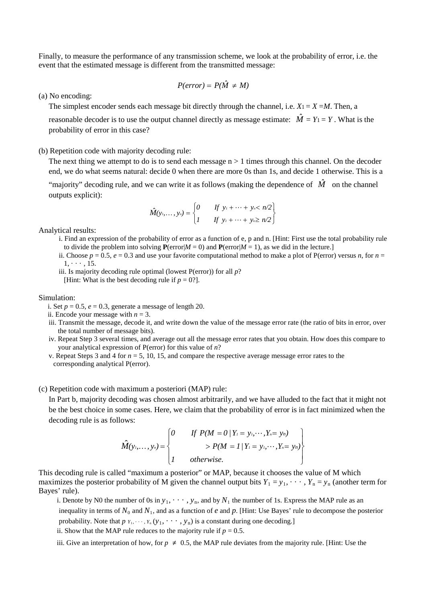Finally, to measure the performance of any transmission scheme, we look at the probability of error, i.e. the event that the estimated message is different from the transmitted message:

$$
P(error) = P(\hat{M} \neq M)
$$

(a) No encoding:

The simplest encoder sends each message bit directly through the channel, i.e.  $X_1 = X = M$ . Then, a

reasonable decoder is to use the output channel directly as message estimate:  $\hat{M} = Y_1 = Y$ . What is the probability of error in this case?

## (b) Repetition code with majority decoding rule:

The next thing we attempt to do is to send each message  $n > 1$  times through this channel. On the decoder end, we do what seems natural: decide 0 when there are more 0s than 1s, and decide 1 otherwise. This is a

"majority" decoding rule, and we can write it as follows (making the dependence of  $\hat{M}$  on the channel outputs explicit):

$$
\hat{M}(y_1,..., y_n) = \begin{cases} 0 & \text{if } y_1 + \cdots + y_n < n/2 \\ 1 & \text{if } y_1 + \cdots + y_n \ge n/2 \end{cases}
$$

Analytical results:

- i. Find an expression of the probability of error as a function of e, p and n. [Hint: First use the total probability rule to divide the problem into solving  $P(\text{error}|M = 0)$  and  $P(\text{error}|M = 1)$ , as we did in the lecture.]
- ii. Choose  $p = 0.5$ ,  $e = 0.3$  and use your favorite computational method to make a plot of P(error) versus *n*, for  $n =$  $1, \cdots, 15.$
- iii. Is majority decoding rule optimal (lowest P(error)) for all *p*?

[Hint: What is the best decoding rule if  $p = 0$ ?].

## Simulation:

i. Set  $p = 0.5$ ,  $e = 0.3$ , generate a message of length 20.

- ii. Encode your message with  $n = 3$ .
- iii. Transmit the message, decode it, and write down the value of the message error rate (the ratio of bits in error, over the total number of message bits).
- iv. Repeat Step 3 several times, and average out all the message error rates that you obtain. How does this compare to your analytical expression of P(error) for this value of *n*?
- v. Repeat Steps 3 and 4 for *n* = 5, 10, 15, and compare the respective average message error rates to the corresponding analytical P(error).

## (c) Repetition code with maximum a posteriori (MAP) rule:

In Part b, majority decoding was chosen almost arbitrarily, and we have alluded to the fact that it might not be the best choice in some cases. Here, we claim that the probability of error is in fact minimized when the decoding rule is as follows:

$$
\hat{M}(y_1,\ldots,y_n)=\begin{cases}\n0 & \text{if } P(M=0|Y_1=y_1,\cdots,Y_n=y_n) \\
&>P(M=1|Y_1=y_1,\cdots,Y_n=y_n) \\
1 & otherwise.\n\end{cases}
$$

This decoding rule is called "maximum a posterior" or MAP, because it chooses the value of M which maximizes the posterior probability of M given the channel output bits  $Y_1 = y_1, \dots, Y_n = y_n$  (another term for Bayes' rule).

- i. Denote by N0 the number of 0s in  $y_1, \dots, y_n$ , and by  $N_1$  the number of 1s. Express the MAP rule as an inequality in terms of  $N_0$  and  $N_1$ , and as a function of  $e$  and  $p$ . [Hint: Use Bayes' rule to decompose the posterior probability. Note that  $p_{Y_1}, \dots, Y_n(y_1, \dots, y_n)$  is a constant during one decoding.]
- ii. Show that the MAP rule reduces to the majority rule if  $p = 0.5$ .
- iii. Give an interpretation of how, for  $p \neq 0.5$ , the MAP rule deviates from the majority rule. [Hint: Use the